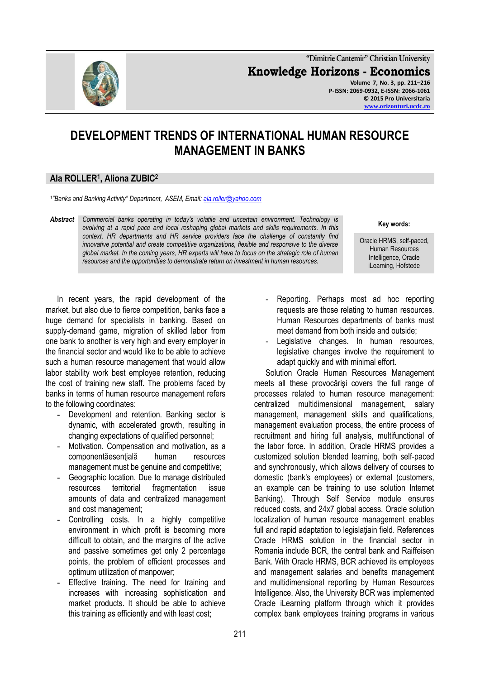

**"Dimitrie Cantemir" Christian University Knowledge Horizons - Economics Volume 7, No. 3, pp. 211–216 P-ISSN: 2069-0932, E-ISSN: 2066-1061 © 2015 Pro Universitaria**

**[www.orizonturi.ucdc.ro](http://www.orizonturi.ucdc.ro/)**

## **DEVELOPMENT TRENDS OF INTERNATIONAL HUMAN RESOURCE MANAGEMENT IN BANKS**

## **Ala ROLLER<sup>1</sup> , Aliona ZUBIC<sup>2</sup>**

*1 "Banks and Banking Activity" Department, ASEM, Email[: ala.roller@yahoo.com](mailto:ala.roller@yahoo.com)*

*Abstract Commercial banks operating in today's volatile and uncertain environment. Technology is evolving at a rapid pace and local reshaping global markets and skills requirements. In this context, HR departments and HR service providers face the challenge of constantly find innovative potential and create competitive organizations, flexible and responsive to the diverse global market. In the coming years, HR experts will have to focus on the strategic role of human resources and the opportunities to demonstrate return on investment in human resources.*

**Key words:**

Oracle HRMS, self-paced, Human Resources Intelligence, Oracle iLearning, Hofstede

In recent years, the rapid development of the market, but also due to fierce competition, banks face a huge demand for specialists in banking. Based on supply-demand game, migration of skilled labor from one bank to another is very high and every employer in the financial sector and would like to be able to achieve such a human resource management that would allow labor stability work best employee retention, reducing the cost of training new staff. The problems faced by banks in terms of human resource management refers to the following coordinates:

- **-** Development and retention. Banking sector is dynamic, with accelerated growth, resulting in changing expectations of qualified personnel;
- **-** Motivation. Compensation and motivation, as a componentăesențială human resources management must be genuine and competitive;
- **-** Geographic location. Due to manage distributed resources territorial fragmentation issue amounts of data and centralized management and cost management;
- **-** Controlling costs. In a highly competitive environment in which profit is becoming more difficult to obtain, and the margins of the active and passive sometimes get only 2 percentage points, the problem of efficient processes and optimum utilization of manpower;
- **-** Effective training. The need for training and increases with increasing sophistication and market products. It should be able to achieve this training as efficiently and with least cost;
- **-** Reporting. Perhaps most ad hoc reporting requests are those relating to human resources. Human Resources departments of banks must meet demand from both inside and outside;
- **-** Legislative changes. In human resources, legislative changes involve the requirement to adapt quickly and with minimal effort.

Solution Oracle Human Resources Management meets all these provocărişi covers the full range of processes related to human resource management: centralized multidimensional management, salary management, management skills and qualifications, management evaluation process, the entire process of recruitment and hiring full analysis, multifunctional of the labor force. In addition, Oracle HRMS provides a customized solution blended learning, both self-paced and synchronously, which allows delivery of courses to domestic (bank's employees) or external (customers, an example can be training to use solution Internet Banking). Through Self Service module ensures reduced costs, and 24x7 global access. Oracle solution localization of human resource management enables full and rapid adaptation to legislatiain field. References Oracle HRMS solution in the financial sector in Romania include BCR, the central bank and Raiffeisen Bank. With Oracle HRMS, BCR achieved its employees and management salaries and benefits management and multidimensional reporting by Human Resources Intelligence. Also, the University BCR was implemented Oracle iLearning platform through which it provides complex bank employees training programs in various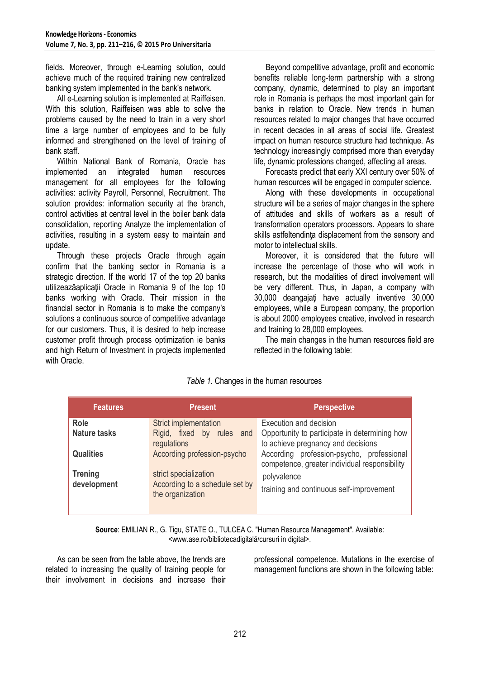fields. Moreover, through e-Learning solution, could achieve much of the required training new centralized banking system implemented in the bank's network.

All e-Learning solution is implemented at Raiffeisen. With this solution, Raiffeisen was able to solve the problems caused by the need to train in a very short time a large number of employees and to be fully informed and strengthened on the level of training of bank staff.

Within National Bank of Romania, Oracle has implemented an integrated human resources management for all employees for the following activities: activity Payroll, Personnel, Recruitment. The solution provides: information security at the branch, control activities at central level in the boiler bank data consolidation, reporting Analyze the implementation of activities, resulting in a system easy to maintain and update.

Through these projects Oracle through again confirm that the banking sector in Romania is a strategic direction. If the world 17 of the top 20 banks utilizeazăaplicatii Oracle in Romania 9 of the top 10 banks working with Oracle. Their mission in the financial sector in Romania is to make the company's solutions a continuous source of competitive advantage for our customers. Thus, it is desired to help increase customer profit through process optimization ie banks and high Return of Investment in projects implemented with Oracle.

Beyond competitive advantage, profit and economic benefits reliable long-term partnership with a strong company, dynamic, determined to play an important role in Romania is perhaps the most important gain for banks in relation to Oracle. New trends in human resources related to major changes that have occurred in recent decades in all areas of social life. Greatest impact on human resource structure had technique. As technology increasingly comprised more than everyday life, dynamic professions changed, affecting all areas.

Forecasts predict that early XXI century over 50% of human resources will be engaged in computer science.

Along with these developments in occupational structure will be a series of major changes in the sphere of attitudes and skills of workers as a result of transformation operators processors. Appears to share skills astfeltendinta displacement from the sensory and motor to intellectual skills.

Moreover, it is considered that the future will increase the percentage of those who will work in research, but the modalities of direct involvement will be very different. Thus, in Japan, a company with 30,000 deangajaţi have actually inventive 30,000 employees, while a European company, the proportion is about 2000 employees creative, involved in research and training to 28,000 employees.

The main changes in the human resources field are reflected in the following table:

| <b>Features</b>                                   | <b>Present</b>                                                                         | <b>Perspective</b>                                                                                            |  |
|---------------------------------------------------|----------------------------------------------------------------------------------------|---------------------------------------------------------------------------------------------------------------|--|
| <b>Role</b><br><b>Nature tasks</b>                | Strict implementation<br>Rigid, fixed by rules and<br>regulations                      | Execution and decision<br>Opportunity to participate in determining how<br>to achieve pregnancy and decisions |  |
| <b>Qualities</b><br><b>Trening</b><br>development | According profession-psycho<br>strict specialization<br>According to a schedule set by | According profession-psycho, professional<br>competence, greater individual responsibility<br>polyvalence     |  |
|                                                   | the organization                                                                       | training and continuous self-improvement                                                                      |  |

*Table 1.* Changes in the human resources

**Source**: EMILIAN R., G. Tigu, STATE O., TULCEA C. "Human Resource Management". Available: <www.ase.ro/bibliotecadigitală/cursuri in digital>.

As can be seen from the table above, the trends are related to increasing the quality of training people for their involvement in decisions and increase their

professional competence. Mutations in the exercise of management functions are shown in the following table: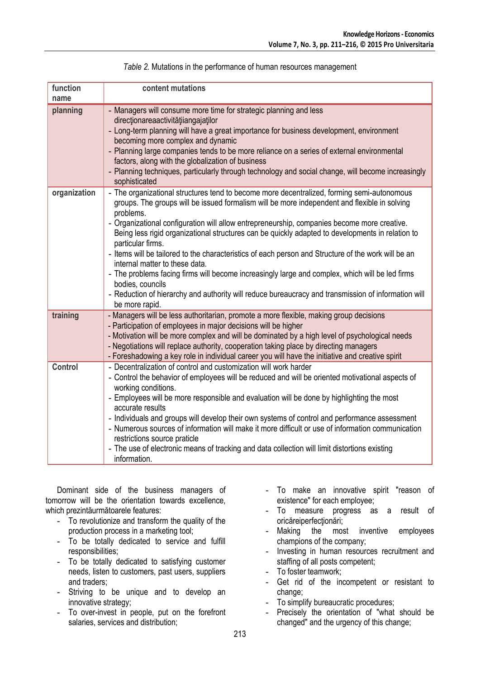| function<br>name | content mutations                                                                                                                                                                                                                                                                                                                                                                                                                                                                                                                                                                                                                                                                                                                                                                                                        |
|------------------|--------------------------------------------------------------------------------------------------------------------------------------------------------------------------------------------------------------------------------------------------------------------------------------------------------------------------------------------------------------------------------------------------------------------------------------------------------------------------------------------------------------------------------------------------------------------------------------------------------------------------------------------------------------------------------------------------------------------------------------------------------------------------------------------------------------------------|
| planning         | - Managers will consume more time for strategic planning and less<br>direcționareaactivitățiiangajaților<br>- Long-term planning will have a great importance for business development, environment<br>becoming more complex and dynamic<br>- Planning large companies tends to be more reliance on a series of external environmental<br>factors, along with the globalization of business<br>- Planning techniques, particularly through technology and social change, will become increasingly<br>sophisticated                                                                                                                                                                                                                                                                                                       |
| organization     | - The organizational structures tend to become more decentralized, forming semi-autonomous<br>groups. The groups will be issued formalism will be more independent and flexible in solving<br>problems.<br>- Organizational configuration will allow entrepreneurship, companies become more creative.<br>Being less rigid organizational structures can be quickly adapted to developments in relation to<br>particular firms.<br>- Items will be tailored to the characteristics of each person and Structure of the work will be an<br>internal matter to these data.<br>- The problems facing firms will become increasingly large and complex, which will be led firms<br>bodies, councils<br>- Reduction of hierarchy and authority will reduce bureaucracy and transmission of information will<br>be more rapid. |
| training         | - Managers will be less authoritarian, promote a more flexible, making group decisions<br>- Participation of employees in major decisions will be higher<br>- Motivation will be more complex and will be dominated by a high level of psychological needs<br>- Negotiations will replace authority, cooperation taking place by directing managers<br>- Foreshadowing a key role in individual career you will have the initiative and creative spirit                                                                                                                                                                                                                                                                                                                                                                  |
| <b>Control</b>   | - Decentralization of control and customization will work harder<br>- Control the behavior of employees will be reduced and will be oriented motivational aspects of<br>working conditions.<br>- Employees will be more responsible and evaluation will be done by highlighting the most<br>accurate results<br>- Individuals and groups will develop their own systems of control and performance assessment<br>- Numerous sources of information will make it more difficult or use of information communication<br>restrictions source praticle<br>- The use of electronic means of tracking and data collection will limit distortions existing<br>information.                                                                                                                                                      |

*Table 2.* Mutations in the performance of human resources management

Dominant side of the business managers of tomorrow will be the orientation towards excellence, which prezintăurmătoarele features:

- **-** To revolutionize and transform the quality of the production process in a marketing tool;
- **-** To be totally dedicated to service and fulfill responsibilities;
- **-** To be totally dedicated to satisfying customer needs, listen to customers, past users, suppliers and traders;
- **-** Striving to be unique and to develop an innovative strategy;
- **-** To over-invest in people, put on the forefront salaries, services and distribution;
- **-** To make an innovative spirit "reason of existence" for each employee;
- **-** To measure progress as a result of oricăreiperfectionări;
- **-** Making the most inventive employees champions of the company;
- **-** Investing in human resources recruitment and staffing of all posts competent;
- **-** To foster teamwork;
- **-** Get rid of the incompetent or resistant to change;
- **-** To simplify bureaucratic procedures;
- **-** Precisely the orientation of "what should be changed" and the urgency of this change;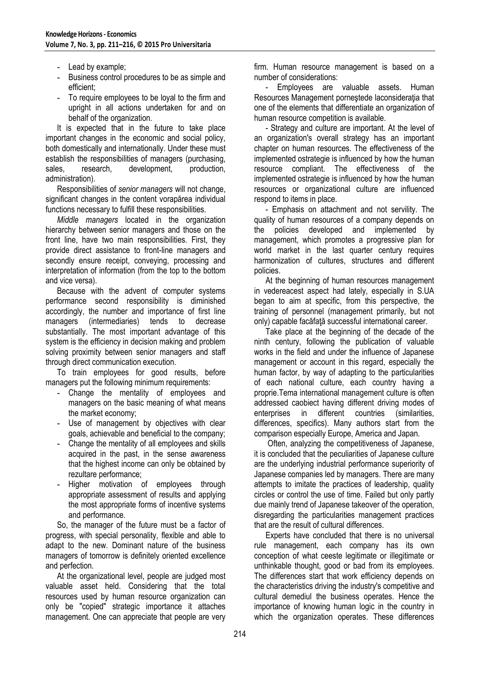- **-** Lead by example;
- **-** Business control procedures to be as simple and efficient;
- **-** To require employees to be loyal to the firm and upright in all actions undertaken for and on behalf of the organization.

It is expected that in the future to take place important changes in the economic and social policy, both domestically and internationally. Under these must establish the responsibilities of managers (purchasing, sales, research, development, production, administration).

Responsibilities of *senior managers* will not change, significant changes in the content vorapărea individual functions necessary to fulfill these responsibilities.

*Middle managers* located in the organization hierarchy between senior managers and those on the front line, have two main responsibilities. First, they provide direct assistance to front-line managers and secondly ensure receipt, conveying, processing and interpretation of information (from the top to the bottom and vice versa).

Because with the advent of computer systems performance second responsibility is diminished accordingly, the number and importance of first line managers (intermediaries) tends to decrease substantially. The most important advantage of this system is the efficiency in decision making and problem solving proximity between senior managers and staff through direct communication execution.

To train employees for good results, before managers put the following minimum requirements:

- **-** Change the mentality of employees and managers on the basic meaning of what means the market economy;
- **-** Use of management by objectives with clear goals, achievable and beneficial to the company;
- **-** Change the mentality of all employees and skills acquired in the past, in the sense awareness that the highest income can only be obtained by rezultare performance;
- **-** Higher motivation of employees through appropriate assessment of results and applying the most appropriate forms of incentive systems and performance.

So, the manager of the future must be a factor of progress, with special personality, flexible and able to adapt to the new. Dominant nature of the business managers of tomorrow is definitely oriented excellence and perfection.

At the organizational level, people are judged most valuable asset held. Considering that the total resources used by human resource organization can only be "copied" strategic importance it attaches management. One can appreciate that people are very firm. Human resource management is based on a number of considerations:

- Employees are valuable assets. Human Resources Management pornestede laconsideratia that one of the elements that differentiate an organization of human resource competition is available.

- Strategy and culture are important. At the level of an organization's overall strategy has an important chapter on human resources. The effectiveness of the implemented ostrategie is influenced by how the human resource compliant. The effectiveness of the implemented ostrategie is influenced by how the human resources or organizational culture are influenced respond to items in place.

- Emphasis on attachment and not servility. The quality of human resources of a company depends on the policies developed and implemented by management, which promotes a progressive plan for world market in the last quarter century requires harmonization of cultures, structures and different policies.

At the beginning of human resources management in vedereacest aspect had lately, especially in S.UA began to aim at specific, from this perspective, the training of personnel (management primarily, but not only) capable facăfață successful international career.

Take place at the beginning of the decade of the ninth century, following the publication of valuable works in the field and under the influence of Japanese management or account in this regard, especially the human factor, by way of adapting to the particularities of each national culture, each country having a proprie.Tema international management culture is often addressed caobiect having different driving modes of enterprises in different countries (similarities, differences, specifics). Many authors start from the comparison especially Europe, America and Japan.

Often, analyzing the competitiveness of Japanese, it is concluded that the peculiarities of Japanese culture are the underlying industrial performance superiority of Japanese companies led by managers. There are many attempts to imitate the practices of leadership, quality circles or control the use of time. Failed but only partly due mainly trend of Japanese takeover of the operation, disregarding the particularities management practices that are the result of cultural differences.

Experts have concluded that there is no universal rule management, each company has its own conception of what ceeste legitimate or illegitimate or unthinkable thought, good or bad from its employees. The differences start that work efficiency depends on the characteristics driving the industry's competitive and cultural demediul the business operates. Hence the importance of knowing human logic in the country in which the organization operates. These differences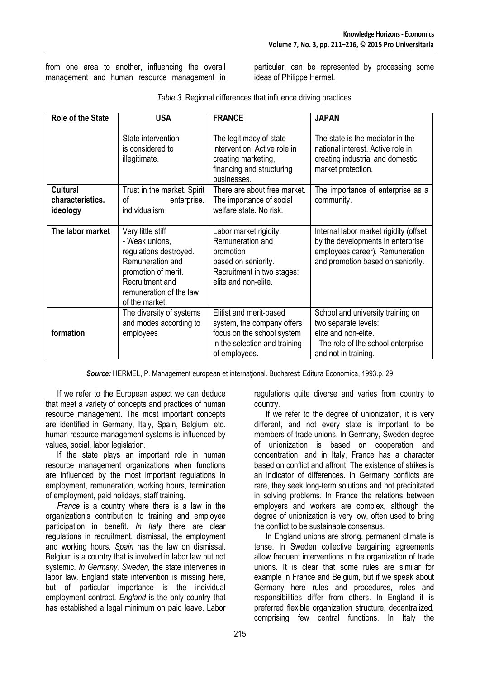from one area to another, influencing the overall management and human resource management in particular, can be represented by processing some ideas of Philippe Hermel.

| <b>Role of the State</b> | <b>USA</b>                                                                                                                                                               | <b>FRANCE</b>                                                                                                                         | <b>JAPAN</b>                                                                                                                                        |
|--------------------------|--------------------------------------------------------------------------------------------------------------------------------------------------------------------------|---------------------------------------------------------------------------------------------------------------------------------------|-----------------------------------------------------------------------------------------------------------------------------------------------------|
|                          | State intervention<br>is considered to<br>illegitimate.                                                                                                                  | The legitimacy of state<br>intervention. Active role in<br>creating marketing,<br>financing and structuring<br>businesses.            | The state is the mediator in the<br>national interest. Active role in<br>creating industrial and domestic<br>market protection.                     |
| <b>Cultural</b>          | Trust in the market. Spirit                                                                                                                                              | There are about free market.                                                                                                          | The importance of enterprise as a                                                                                                                   |
| characteristics.         | οf<br>enterprise.                                                                                                                                                        | The importance of social                                                                                                              | community.                                                                                                                                          |
| ideology                 | individualism                                                                                                                                                            | welfare state. No risk.                                                                                                               |                                                                                                                                                     |
| The labor market         | Very little stiff<br>- Weak unions,<br>regulations destroyed.<br>Remuneration and<br>promotion of merit.<br>Recruitment and<br>remuneration of the law<br>of the market. | Labor market rigidity.<br>Remuneration and<br>promotion<br>based on seniority.<br>Recruitment in two stages:<br>elite and non-elite.  | Internal labor market rigidity (offset<br>by the developments in enterprise<br>employees career). Remuneration<br>and promotion based on seniority. |
| formation                | The diversity of systems<br>and modes according to<br>employees                                                                                                          | Elitist and merit-based<br>system, the company offers<br>focus on the school system<br>in the selection and training<br>of employees. | School and university training on<br>two separate levels:<br>elite and non-elite.<br>The role of the school enterprise<br>and not in training.      |

*Table 3.* Regional differences that influence driving practices

*Source:* HERMEL, P. Management european et internaţional. Bucharest: Editura Economica, 1993.p. 29

If we refer to the European aspect we can deduce that meet a variety of concepts and practices of human resource management. The most important concepts are identified in Germany, Italy, Spain, Belgium, etc. human resource management systems is influenced by values, social, labor legislation.

If the state plays an important role in human resource management organizations when functions are influenced by the most important regulations in employment, remuneration, working hours, termination of employment, paid holidays, staff training.

*France* is a country where there is a law in the organization's contribution to training and employee participation in benefit. *In Italy* there are clear regulations in recruitment, dismissal, the employment and working hours. *Spain* has the law on dismissal. Belgium is a country that is involved in labor law but not systemic. *In Germany, Sweden,* the state intervenes in labor law. England state intervention is missing here, but of particular importance is the individual employment contract. *England* is the only country that has established a legal minimum on paid leave. Labor regulations quite diverse and varies from country to country.

If we refer to the degree of unionization, it is very different, and not every state is important to be members of trade unions. In Germany, Sweden degree of unionization is based on cooperation and concentration, and in Italy, France has a character based on conflict and affront. The existence of strikes is an indicator of differences. In Germany conflicts are rare, they seek long-term solutions and not precipitated in solving problems. In France the relations between employers and workers are complex, although the degree of unionization is very low, often used to bring the conflict to be sustainable consensus.

In England unions are strong, permanent climate is tense. In Sweden collective bargaining agreements allow frequent interventions in the organization of trade unions. It is clear that some rules are similar for example in France and Belgium, but if we speak about Germany here rules and procedures, roles and responsibilities differ from others. In England it is preferred flexible organization structure, decentralized, comprising few central functions. In Italy the